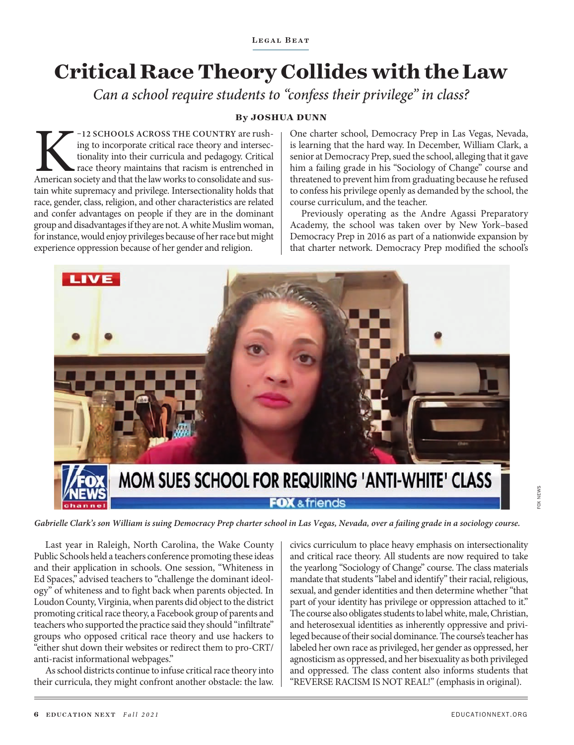## **Critical Race Theory Collides with the Law**

*Can a school require students to "confess their privilege" in class?*

## **By JOSHUA DUNN**

FREE COUNTRY are rushing to incorporate critical race theory and intersectionality into their curricula and pedagogy. Critical race theory maintains that racism is entrenched in American society and that the law works to c ing to incorporate critical race theory and intersectionality into their curricula and pedagogy. Critical race theory maintains that racism is entrenched in tain white supremacy and privilege. Intersectionality holds that race, gender, class, religion, and other characteristics are related and confer advantages on people if they are in the dominant group and disadvantages if they are not. A white Muslim woman, for instance, would enjoy privileges because of her race but might experience oppression because of her gender and religion.

One charter school, Democracy Prep in Las Vegas, Nevada, is learning that the hard way. In December, William Clark, a senior at Democracy Prep, sued the school, alleging that it gave him a failing grade in his "Sociology of Change" course and threatened to prevent him from graduating because he refused to confess his privilege openly as demanded by the school, the course curriculum, and the teacher.

Previously operating as the Andre Agassi Preparatory Academy, the school was taken over by New York–based Democracy Prep in 2016 as part of a nationwide expansion by that charter network. Democracy Prep modified the school's



*Gabrielle Clark's son William is suing Democracy Prep charter school in Las Vegas, Nevada, over a failing grade in a sociology course.*

Last year in Raleigh, North Carolina, the Wake County Public Schools held a teachers conference promoting these ideas and their application in schools. One session, "Whiteness in Ed Spaces," advised teachers to "challenge the dominant ideology" of whiteness and to fight back when parents objected. In Loudon County, Virginia, when parents did object to the district promoting critical race theory, a Facebook group of parents and teachers who supported the practice said they should "infiltrate" groups who opposed critical race theory and use hackers to "either shut down their websites or redirect them to pro-CRT/ anti-racist informational webpages."

As school districts continue to infuse critical race theory into their curricula, they might confront another obstacle: the law.

civics curriculum to place heavy emphasis on intersectionality and critical race theory. All students are now required to take the yearlong "Sociology of Change" course. The class materials mandate that students "label and identify" their racial, religious, sexual, and gender identities and then determine whether "that part of your identity has privilege or oppression attached to it." The course also obligates students to label white, male, Christian, and heterosexual identities as inherently oppressive and privileged because of their social dominance. The course's teacher has labeled her own race as privileged, her gender as oppressed, her agnosticism as oppressed, and her bisexuality as both privileged and oppressed. The class content also informs students that "REVERSE RACISM IS NOT REAL!" (emphasis in original).